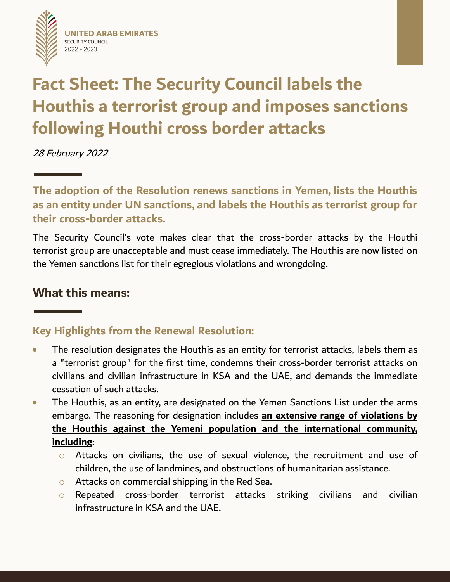



# **Fact Sheet: The Security Council labels the Houthis a terrorist group and imposes sanctions following Houthi cross border attacks**

28 February 2022

**The adoption of the Resolution renews sanctions in Yemen, lists the Houthis as an entity under UN sanctions, and labels the Houthis as terrorist group for their cross-border attacks.**

The Security Council's vote makes clear that the cross-border attacks by the Houthi terrorist group are unacceptable and must cease immediately. The Houthis are now listed on the Yemen sanctions list for their egregious violations and wrongdoing.

## **What this means:**

## **Key Highlights from the Renewal Resolution:**

- The resolution designates the Houthis as an entity for terrorist attacks, labels them as a "terrorist group" for the first time, condemns their cross-border terrorist attacks on civilians and civilian infrastructure in KSA and the UAE, and demands the immediate cessation of such attacks.
- The Houthis, as an entity, are designated on the Yemen Sanctions List under the arms embargo. The reasoning for designation includes **an extensive range of violations by the Houthis against the Yemeni population and the international community, including**:
	- o Attacks on civilians, the use of sexual violence, the recruitment and use of children, the use of landmines, and obstructions of humanitarian assistance.
	- o Attacks on commercial shipping in the Red Sea.
	- o Repeated cross-border terrorist attacks striking civilians and civilian infrastructure in KSA and the UAE.